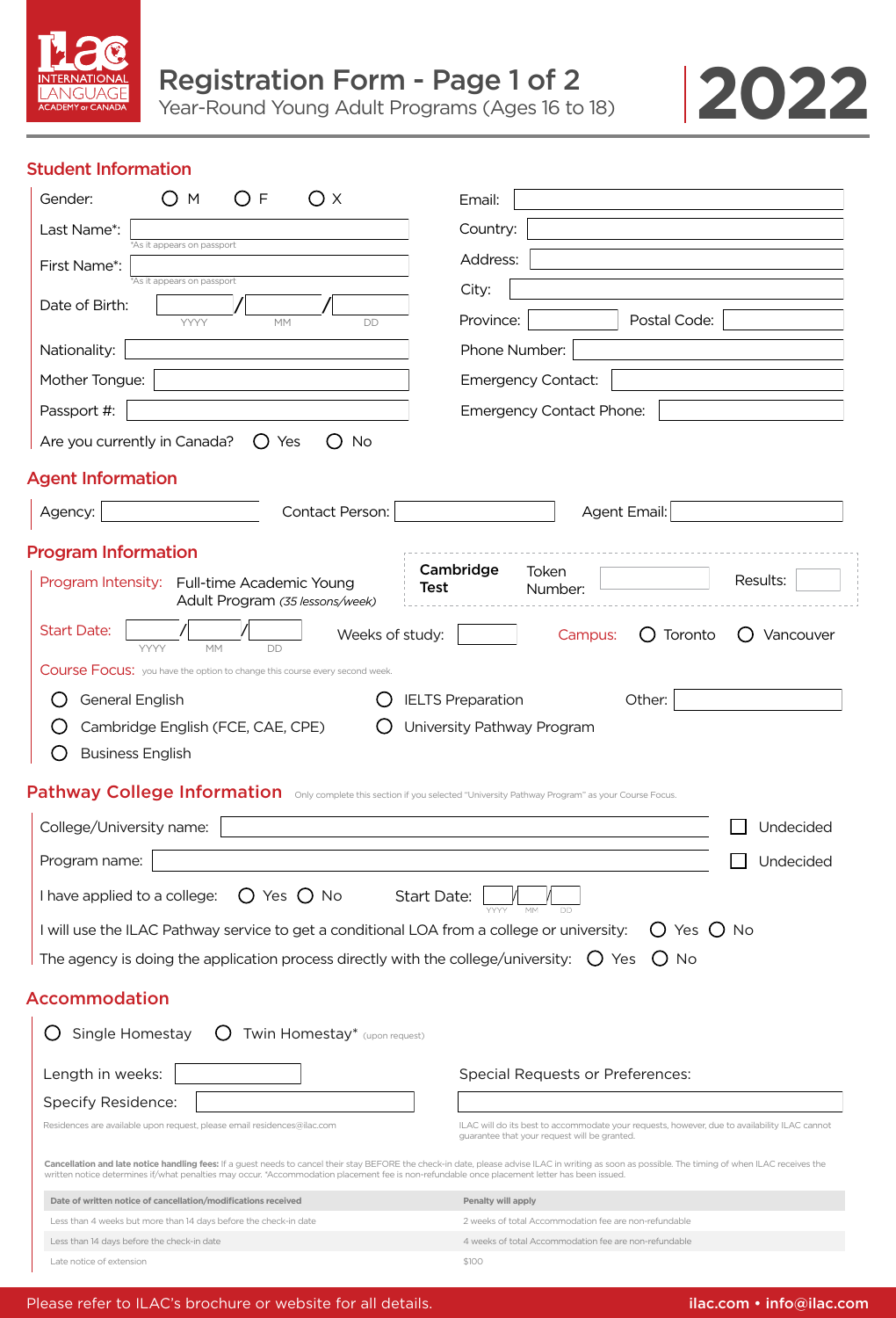



# Student Information

| $\mathsf{F}$<br>( )<br>Оx<br>Gender:<br>( )<br>M                                                                                             | Email:                                                                                                                                                                                              |
|----------------------------------------------------------------------------------------------------------------------------------------------|-----------------------------------------------------------------------------------------------------------------------------------------------------------------------------------------------------|
| Last Name*:                                                                                                                                  | Country:                                                                                                                                                                                            |
| *As it appears on passport<br>First Name*:                                                                                                   | Address:                                                                                                                                                                                            |
| *As it appears on passport                                                                                                                   | City:                                                                                                                                                                                               |
| Date of Birth:<br><b>YYYY</b><br><b>DD</b><br><b>MM</b>                                                                                      | Province:<br>Postal Code:                                                                                                                                                                           |
| Nationality:                                                                                                                                 | Phone Number:                                                                                                                                                                                       |
| Mother Tongue:                                                                                                                               | <b>Emergency Contact:</b>                                                                                                                                                                           |
| Passport #:                                                                                                                                  | <b>Emergency Contact Phone:</b>                                                                                                                                                                     |
| Are you currently in Canada?<br><b>No</b><br>Yes<br>( )                                                                                      |                                                                                                                                                                                                     |
| <b>Agent Information</b>                                                                                                                     |                                                                                                                                                                                                     |
| Contact Person:<br>Agency:                                                                                                                   | Agent Email:                                                                                                                                                                                        |
| <b>Program Information</b>                                                                                                                   |                                                                                                                                                                                                     |
| Program Intensity: Full-time Academic Young<br>Adult Program (35 lessons/week)                                                               | Cambridge<br>Token<br>Results:<br>Test<br>Number:                                                                                                                                                   |
| <b>Start Date:</b><br>Weeks of study:<br><b>YYYY</b><br><b>MM</b><br>DD                                                                      | Toronto<br>Campus:<br>Vancouver                                                                                                                                                                     |
| Course Focus: you have the option to change this course every second week.                                                                   |                                                                                                                                                                                                     |
| General English                                                                                                                              | <b>IELTS Preparation</b><br>Other:                                                                                                                                                                  |
| Cambridge English (FCE, CAE, CPE)                                                                                                            | University Pathway Program                                                                                                                                                                          |
| <b>Business English</b>                                                                                                                      |                                                                                                                                                                                                     |
| Pathway College Information Only complete this section if you selected "University Pathway Program" as your Course Focus.                    |                                                                                                                                                                                                     |
| College/University name:                                                                                                                     | Undecided                                                                                                                                                                                           |
| Program name:                                                                                                                                | Undecided                                                                                                                                                                                           |
|                                                                                                                                              |                                                                                                                                                                                                     |
| I have applied to a college: $\bigcirc$ Yes $\bigcirc$ No                                                                                    | Start Date:                                                                                                                                                                                         |
| I will use the ILAC Pathway service to get a conditional LOA from a college or university:                                                   | $O$ Yes $O$ No                                                                                                                                                                                      |
| The agency is doing the application process directly with the college/university: $\bigcirc$ Yes                                             | No                                                                                                                                                                                                  |
| <b>Accommodation</b>                                                                                                                         |                                                                                                                                                                                                     |
| Single Homestay<br>$\bigcirc$ Twin Homestay* (upon request)                                                                                  |                                                                                                                                                                                                     |
| Length in weeks:                                                                                                                             | <b>Special Requests or Preferences:</b>                                                                                                                                                             |
| Specify Residence:                                                                                                                           |                                                                                                                                                                                                     |
| Residences are available upon request, please email residences@ilac.com                                                                      | ILAC will do its best to accommodate your requests, however, due to availability ILAC cannot<br>guarantee that your request will be granted.                                                        |
| written notice determines if/what penalties may occur. *Accommodation placement fee is non-refundable once placement letter has been issued. | Cancellation and late notice handling fees: If a guest needs to cancel their stay BEFORE the check-in date, please advise ILAC in writing as soon as possible. The timing of when ILAC receives the |
| Date of written notice of cancellation/modifications received                                                                                | Penalty will apply                                                                                                                                                                                  |
| Less than 4 weeks but more than 14 days before the check-in date                                                                             | 2 weeks of total Accommodation fee are non-refundable<br>4 weeks of total Accommodation fee are non-refundable                                                                                      |
| Less than 14 days before the check-in date<br>Late notice of extension                                                                       | \$100                                                                                                                                                                                               |
|                                                                                                                                              |                                                                                                                                                                                                     |